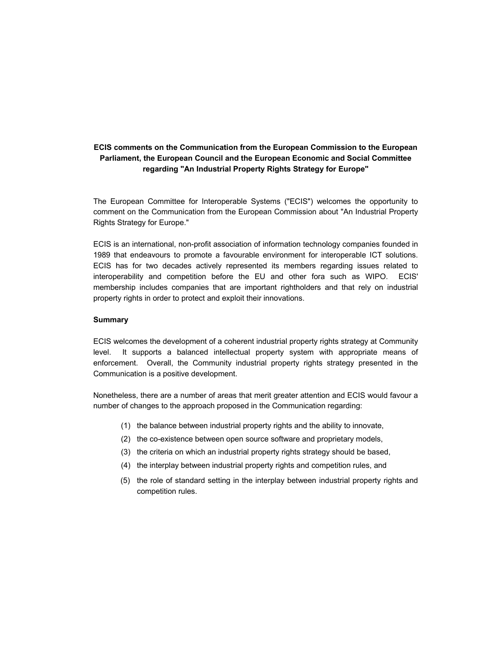# ECIS comments on the Communication from the European Commission to the European Parliament, the European Council and the European Economic and Social Committee regarding "An Industrial Property Rights Strategy for Europe"

The European Committee for Interoperable Systems ("ECIS") welcomes the opportunity to comment on the Communication from the European Commission about "An Industrial Property Rights Strategy for Europe."

ECIS is an international, non-profit association of information technology companies founded in 1989 that endeavours to promote a favourable environment for interoperable ICT solutions. ECIS has for two decades actively represented its members regarding issues related to interoperability and competition before the EU and other fora such as WIPO. ECIS' membership includes companies that are important rightholders and that rely on industrial property rights in order to protect and exploit their innovations.

#### **Summary**

ECIS welcomes the development of a coherent industrial property rights strategy at Community level. It supports a balanced intellectual property system with appropriate means of enforcement. Overall, the Community industrial property rights strategy presented in the Communication is a positive development.

Nonetheless, there are a number of areas that merit greater attention and ECIS would favour a number of changes to the approach proposed in the Communication regarding:

- (1) the balance between industrial property rights and the ability to innovate,
- (2) the co-existence between open source software and proprietary models,
- (3) the criteria on which an industrial property rights strategy should be based,
- (4) the interplay between industrial property rights and competition rules, and
- (5) the role of standard setting in the interplay between industrial property rights and competition rules.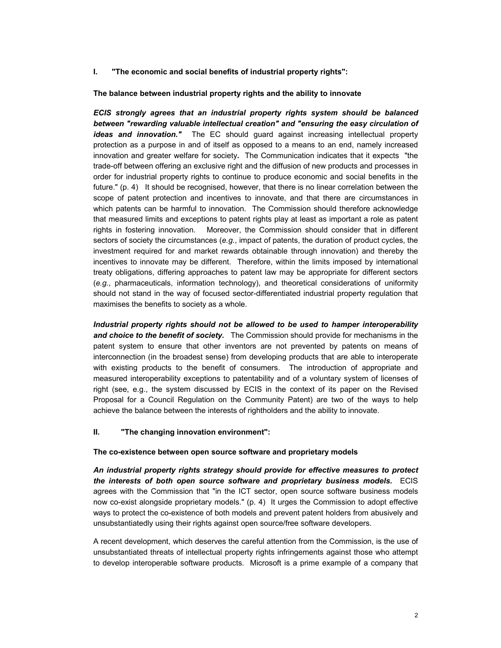# I. "The economic and social benefits of industrial property rights":

#### The balance between industrial property rights and the ability to innovate

ECIS strongly agrees that an industrial property rights system should be balanced between "rewarding valuable intellectual creation" and "ensuring the easy circulation of ideas and innovation." The EC should guard against increasing intellectual property protection as a purpose in and of itself as opposed to a means to an end, namely increased innovation and greater welfare for society. The Communication indicates that it expects "the trade-off between offering an exclusive right and the diffusion of new products and processes in order for industrial property rights to continue to produce economic and social benefits in the future." (p. 4) It should be recognised, however, that there is no linear correlation between the scope of patent protection and incentives to innovate, and that there are circumstances in which patents can be harmful to innovation. The Commission should therefore acknowledge that measured limits and exceptions to patent rights play at least as important a role as patent rights in fostering innovation. Moreover, the Commission should consider that in different sectors of society the circumstances (e.g., impact of patents, the duration of product cycles, the investment required for and market rewards obtainable through innovation) and thereby the incentives to innovate may be different. Therefore, within the limits imposed by international treaty obligations, differing approaches to patent law may be appropriate for different sectors (e.g., pharmaceuticals, information technology), and theoretical considerations of uniformity should not stand in the way of focused sector-differentiated industrial property regulation that maximises the benefits to society as a whole.

Industrial property rights should not be allowed to be used to hamper interoperability and choice to the benefit of society. The Commission should provide for mechanisms in the patent system to ensure that other inventors are not prevented by patents on means of interconnection (in the broadest sense) from developing products that are able to interoperate with existing products to the benefit of consumers. The introduction of appropriate and measured interoperability exceptions to patentability and of a voluntary system of licenses of right (see, e.g., the system discussed by ECIS in the context of its paper on the Revised Proposal for a Council Regulation on the Community Patent) are two of the ways to help achieve the balance between the interests of rightholders and the ability to innovate.

# II. "The changing innovation environment":

#### The co-existence between open source software and proprietary models

An industrial property rights strategy should provide for effective measures to protect the interests of both open source software and proprietary business models. ECIS agrees with the Commission that "in the ICT sector, open source software business models now co-exist alongside proprietary models." (p. 4) It urges the Commission to adopt effective ways to protect the co-existence of both models and prevent patent holders from abusively and unsubstantiatedly using their rights against open source/free software developers.

A recent development, which deserves the careful attention from the Commission, is the use of unsubstantiated threats of intellectual property rights infringements against those who attempt to develop interoperable software products. Microsoft is a prime example of a company that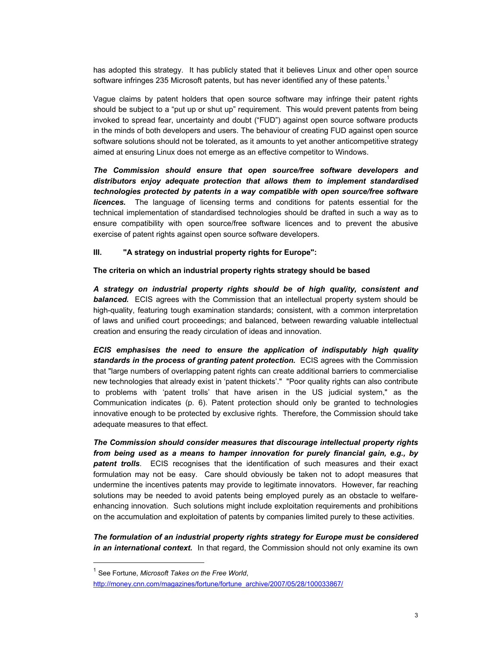has adopted this strategy. It has publicly stated that it believes Linux and other open source software infringes 235 Microsoft patents, but has never identified any of these patents.<sup>1</sup>

Vague claims by patent holders that open source software may infringe their patent rights should be subject to a "put up or shut up" requirement. This would prevent patents from being invoked to spread fear, uncertainty and doubt ("FUD") against open source software products in the minds of both developers and users. The behaviour of creating FUD against open source software solutions should not be tolerated, as it amounts to yet another anticompetitive strategy aimed at ensuring Linux does not emerge as an effective competitor to Windows.

The Commission should ensure that open source/free software developers and distributors enjoy adequate protection that allows them to implement standardised technologies protected by patents in a way compatible with open source/free software **licences.** The language of licensing terms and conditions for patents essential for the technical implementation of standardised technologies should be drafted in such a way as to ensure compatibility with open source/free software licences and to prevent the abusive exercise of patent rights against open source software developers.

## III. "A strategy on industrial property rights for Europe":

## The criteria on which an industrial property rights strategy should be based

A strategy on industrial property rights should be of high quality, consistent and **balanced.** ECIS agrees with the Commission that an intellectual property system should be high-quality, featuring tough examination standards; consistent, with a common interpretation of laws and unified court proceedings; and balanced, between rewarding valuable intellectual creation and ensuring the ready circulation of ideas and innovation.

ECIS emphasises the need to ensure the application of indisputably high quality standards in the process of granting patent protection. ECIS agrees with the Commission that "large numbers of overlapping patent rights can create additional barriers to commercialise new technologies that already exist in 'patent thickets'." "Poor quality rights can also contribute to problems with 'patent trolls' that have arisen in the US judicial system," as the Communication indicates (p. 6). Patent protection should only be granted to technologies innovative enough to be protected by exclusive rights. Therefore, the Commission should take adequate measures to that effect.

The Commission should consider measures that discourage intellectual property rights from being used as a means to hamper innovation for purely financial gain, e.g., by patent trolls. ECIS recognises that the identification of such measures and their exact formulation may not be easy. Care should obviously be taken not to adopt measures that undermine the incentives patents may provide to legitimate innovators. However, far reaching solutions may be needed to avoid patents being employed purely as an obstacle to welfareenhancing innovation. Such solutions might include exploitation requirements and prohibitions on the accumulation and exploitation of patents by companies limited purely to these activities.

The formulation of an industrial property rights strategy for Europe must be considered in an international context. In that regard, the Commission should not only examine its own

1

 $1$  See Fortune, Microsoft Takes on the Free World,

http://money.cnn.com/magazines/fortune/fortune\_archive/2007/05/28/100033867/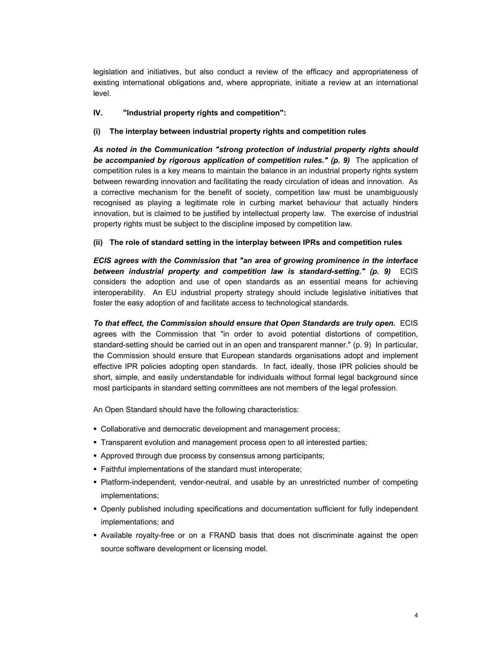legislation and initiatives, but also conduct a review of the efficacy and appropriateness of existing international obligations and, where appropriate, initiate a review at an international level.

# IV. "Industrial property rights and competition":

### (i) The interplay between industrial property rights and competition rules

As noted in the Communication "strong protection of industrial property rights should be accompanied by rigorous application of competition rules."  $(p. 9)$  The application of competition rules is a key means to maintain the balance in an industrial property rights system between rewarding innovation and facilitating the ready circulation of ideas and innovation. As a corrective mechanism for the benefit of society, competition law must be unambiguously recognised as playing a legitimate role in curbing market behaviour that actually hinders innovation, but is claimed to be justified by intellectual property law. The exercise of industrial property rights must be subject to the discipline imposed by competition law.

## (ii) The role of standard setting in the interplay between IPRs and competition rules

ECIS agrees with the Commission that "an area of growing prominence in the interface between industrial property and competition law is standard-setting." (p. 9) ECIS considers the adoption and use of open standards as an essential means for achieving interoperability. An EU industrial property strategy should include legislative initiatives that foster the easy adoption of and facilitate access to technological standards.

To that effect, the Commission should ensure that Open Standards are truly open. ECIS agrees with the Commission that "in order to avoid potential distortions of competition, standard-setting should be carried out in an open and transparent manner." (p. 9) In particular, the Commission should ensure that European standards organisations adopt and implement effective IPR policies adopting open standards. In fact, ideally, those IPR policies should be short, simple, and easily understandable for individuals without formal legal background since most participants in standard setting committees are not members of the legal profession.

An Open Standard should have the following characteristics:

- Collaborative and democratic development and management process;
- Transparent evolution and management process open to all interested parties;
- Approved through due process by consensus among participants;
- **Faithful implementations of the standard must interoperate;**
- Platform-independent, vendor-neutral, and usable by an unrestricted number of competing implementations;
- Openly published including specifications and documentation sufficient for fully independent implementations; and
- Available royalty-free or on a FRAND basis that does not discriminate against the open source software development or licensing model.